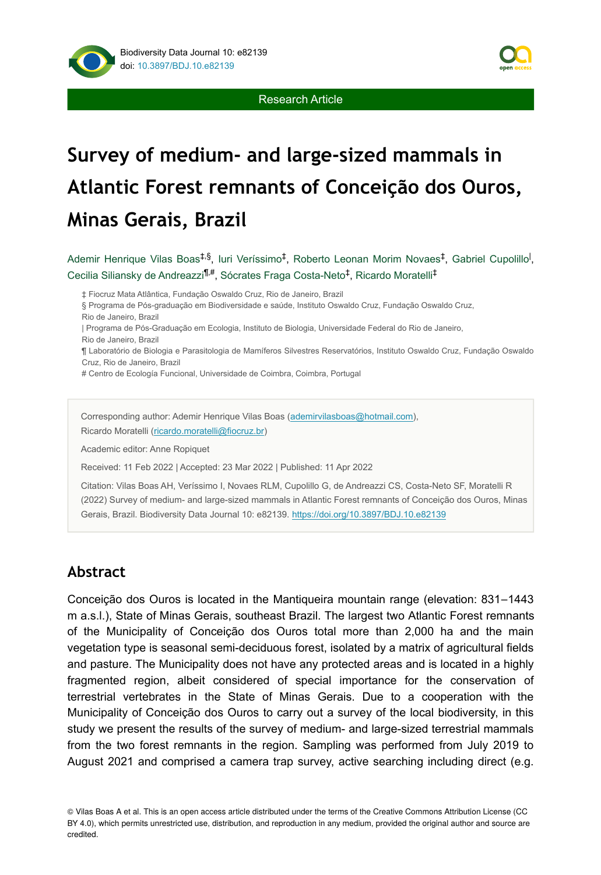

# **Survey of medium- and large-sized mammals in Atlantic Forest remnants of Conceição dos Ouros, Minas Gerais, Brazil**

Ademir Henrique Vilas Boas<sup>‡,§</sup>, Iuri Veríssimo<sup>‡</sup>, Roberto Leonan Morim Novaes<sup>‡</sup>, Gabriel Cupolillo<sup>l</sup>, Cecilia Siliansky de Andreazzi<sup>¶,#</sup>, Sócrates Fraga Costa-Neto<sup>‡</sup>, Ricardo Moratelli<sup>‡</sup>

‡ Fiocruz Mata Atlântica, Fundação Oswaldo Cruz, Rio de Janeiro, Brazil

§ Programa de Pós-graduação em Biodiversidade e saúde, Instituto Oswaldo Cruz, Fundação Oswaldo Cruz, Rio de Janeiro, Brazil

| Programa de Pós-Graduação em Ecologia, Instituto de Biologia, Universidade Federal do Rio de Janeiro, Rio de Janeiro, Brazil

¶ Laboratório de Biologia e Parasitologia de Mamíferos Silvestres Reservatórios, Instituto Oswaldo Cruz, Fundação Oswaldo Cruz, Rio de Janeiro, Brazil

# Centro de Ecología Funcional, Universidade de Coimbra, Coimbra, Portugal

Corresponding author: Ademir Henrique Vilas Boas ([ademirvilasboas@hotmail.com](mailto:ademirvilasboas@hotmail.com)),

Ricardo Moratelli ([ricardo.moratelli@fiocruz.br](mailto:ricardo.moratelli@fiocruz.br))

Academic editor: Anne Ropiquet

Received: 11 Feb 2022 | Accepted: 23 Mar 2022 | Published: 11 Apr 2022

Citation: Vilas Boas AH, Veríssimo I, Novaes RLM, Cupolillo G, de Andreazzi CS, Costa-Neto SF, Moratelli R (2022) Survey of medium- and large-sized mammals in Atlantic Forest remnants of Conceição dos Ouros, Minas Gerais, Brazil. Biodiversity Data Journal 10: e82139.<https://doi.org/10.3897/BDJ.10.e82139>

# **Abstract**

Conceição dos Ouros is located in the Mantiqueira mountain range (elevation: 831-1443 m a.s.l.), State of Minas Gerais, southeast Brazil. The largest two Atlantic Forest remnants of the Municipality of Conceição dos Ouros total more than 2,000 ha and the main vegetation type is seasonal semi-deciduous forest, isolated by a matrix of agricultural fields and pasture. The Municipality does not have any protected areas and is located in a highly fragmented region, albeit considered of special importance for the conservation of terrestrial vertebrates in the State of Minas Gerais. Due to a cooperation with the Municipality of Conceição dos Ouros to carry out a survey of the local biodiversity, in this study we present the results of the survey of medium- and large-sized terrestrial mammals from the two forest remnants in the region. Sampling was performed from July 2019 to August 2021 and comprised a camera trap survey, active searching including direct (e.g.

© Vilas Boas A et al. This is an open access article distributed under the terms of the Creative Commons Attribution License (CC BY 4.0), which permits unrestricted use, distribution, and reproduction in any medium, provided the original author and source are credited.

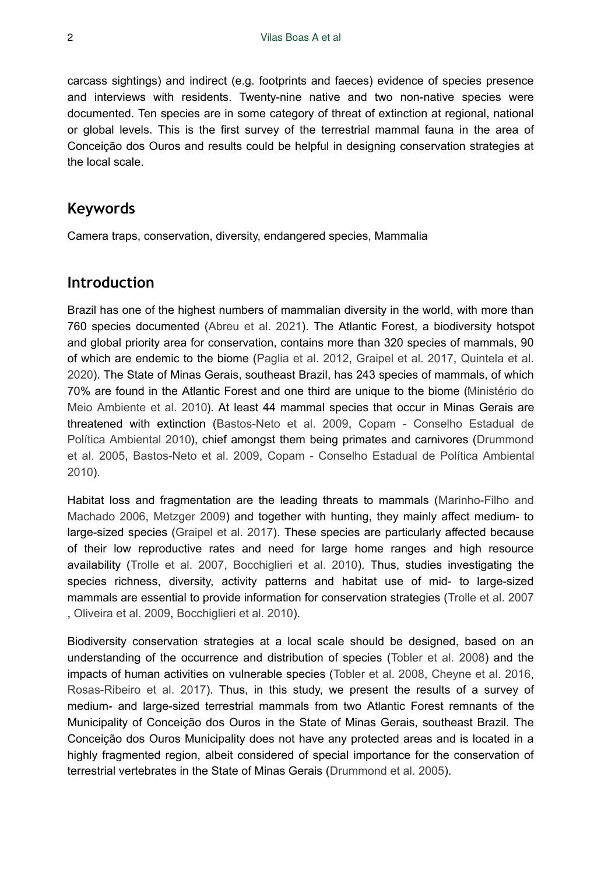carcass sightings) and indirect (e.g. footprints and faeces) evidence of species presence and interviews with residents. Twenty-nine native and two non-native species were documented. Ten species are in some category of threat of extinction at regional, national or global levels. This is the first survey of the terrestrial mammal fauna in the area of Conceição dos Ouros and results could be helpful in designing conservation strategies at the local scale.

### **Keywords**

Camera traps, conservation, diversity, endangered species, Mammalia

### **Introduction**

Brazil has one of the highest numbers of mammalian diversity in the world, with more than 760 species documented [\(Abreu et al. 2021\)](#page-12-0). The Atlantic Forest, a biodiversity hotspot and global priority area for conservation, contains more than 320 species of mammals, 90 of which are endemic to the biome ([Paglia et al. 2012](#page-14-0), [Graipel et al. 2017,](#page-13-0) [Quintela et al.](#page-14-1) [2020](#page-14-1)). The State of Minas Gerais, southeast Brazil, has 243 species of mammals, of which 70% are found in the Atlantic Forest and one third are unique to the biome ([Ministério do](#page-14-2) [Meio Ambiente et al. 2010\)](#page-14-2). At least 44 mammal species that occur in Minas Gerais are threatened with extinction [\(Bastos-Neto et al. 2009](#page-12-1), [Copam - Conselho Estadual de](#page-12-2) [Política Ambiental 2010](#page-12-2)), chief amongst them being primates and carnivores ([Drummond](#page-13-1) [et al. 2005](#page-13-1), [Bastos-Neto et al. 2009,](#page-12-1) [Copam - Conselho Estadual de Política Ambiental](#page-12-2) [2010](#page-12-2)).

Habitat loss and fragmentation are the leading threats to mammals ([Marinho-Filho and](#page-14-3) [Machado 2006](#page-14-3), [Metzger 2009\)](#page-14-4) and together with hunting, they mainly affect medium- to large-sized species ([Graipel et al. 2017](#page-13-0)). These species are particularly affected because of their low reproductive rates and need for large home ranges and high resource availability ([Trolle et al. 2007](#page-15-0), [Bocchiglieri et al. 2010](#page-12-3)). Thus, studies investigating the species richness, diversity, activity patterns and habitat use of mid- to large-sized mammals are essential to provide information for conservation strategies [\(Trolle et al. 2007](#page-15-0) , [Oliveira et al. 2009](#page-14-5), [Bocchiglieri et al. 2010](#page-12-3)).

Biodiversity conservation strategies at a local scale should be designed, based on an understanding of the occurrence and distribution of species ([Tobler et al. 2008](#page-15-1)) and the impacts of human activities on vulnerable species [\(Tobler et al. 2008](#page-15-1), [Cheyne et al. 2016,](#page-12-4) [Rosas-Ribeiro et al. 2017](#page-15-2)). Thus, in this study, we present the results of a survey of medium- and large-sized terrestrial mammals from two Atlantic Forest remnants of the Municipality of Conceição dos Ouros in the State of Minas Gerais, southeast Brazil. The Conceição dos Ouros Municipality does not have any protected areas and is located in a highly fragmented region, albeit considered of special importance for the conservation of terrestrial vertebrates in the State of Minas Gerais ([Drummond et al. 2005\)](#page-13-1).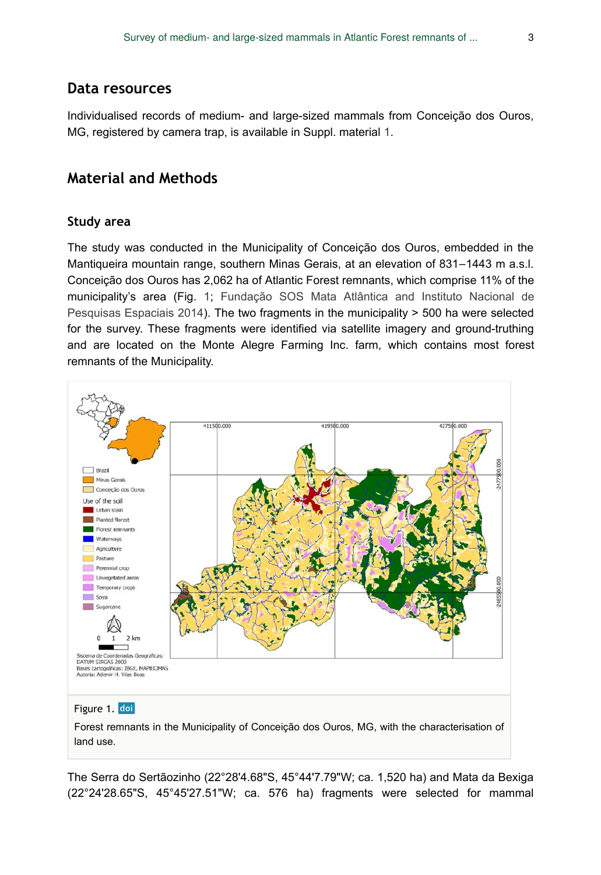### **Data resources**

Individualised records of medium- and large-sized mammals from Conceição dos Ouros, MG, registered by camera trap, is available in Suppl. material [1.](#page-16-0)

### **Material and Methods**

#### **Study area**

The study was conducted in the Municipality of Conceição dos Ouros, embedded in the Mantiqueira mountain range, southern Minas Gerais, at an elevation of 831–1443 m a.s.l. Conceição dos Ouros has 2,062 ha of Atlantic Forest remnants, which comprise 11% of the municipality's area (Fig. [1;](#page-2-0) [Fundação SOS Mata Atlântica and Instituto Nacional de](#page-13-2) [Pesquisas Espaciais 2014](#page-13-2)). The two fragments in the municipality > 500 ha were selected for the survey. These fragments were identified via satellite imagery and ground-truthing and are located on the Monte Alegre Farming Inc. farm, which contains most forest remnants of the Municipality.

<span id="page-2-0"></span>

Forest remnants in the Municipality of Conceição dos Ouros, MG, with the characterisation of land use.

The Serra do Sertãozinho (22°28'4.68"S, 45°44'7.79"W; ca. 1,520 ha) and Mata da Bexiga (22°24'28.65"S, 45°45'27.51"W; ca. 576 ha) fragments were selected for mammal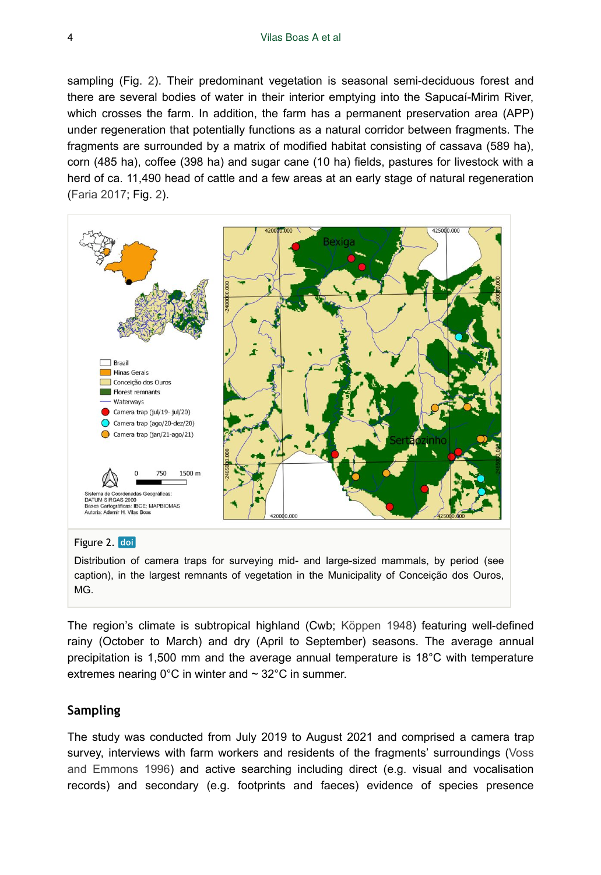sampling (Fig. [2](#page-3-0)). Their predominant vegetation is seasonal semi-deciduous forest and there are several bodies of water in their interior emptying into the Sapucaí-Mirim River, which crosses the farm. In addition, the farm has a permanent preservation area (APP) under regeneration that potentially functions as a natural corridor between fragments. The fragments are surrounded by a matrix of modified habitat consisting of cassava (589 ha), corn (485 ha), coffee (398 ha) and sugar cane (10 ha) fields, pastures for livestock with a herd of ca. 11,490 head of cattle and a few areas at an early stage of natural regeneration [\(Faria 2017](#page-13-3); Fig. [2\)](#page-3-0).

<span id="page-3-0"></span>

#### Figure 2. doi

Distribution of camera traps for surveying mid- and large-sized mammals, by period (see caption), in the largest remnants of vegetation in the Municipality of Conceição dos Ouros, MG.

The region's climate is subtropical highland (Cwb; [Köppen 1948\)](#page-13-4) featuring well-defined rainy (October to March) and dry (April to September) seasons. The average annual precipitation is 1,500 mm and the average annual temperature is 18°C with temperature extremes nearing  $0^{\circ}$ C in winter and  $\sim$  32 $^{\circ}$ C in summer.

#### **Sampling**

The study was conducted from July 2019 to August 2021 and comprised a camera trap survey, interviews with farm workers and residents of the fragments' surroundings ([Voss](#page-15-3) [and Emmons 1996](#page-15-3)) and active searching including direct (e.g. visual and vocalisation records) and secondary (e.g. footprints and faeces) evidence of species presence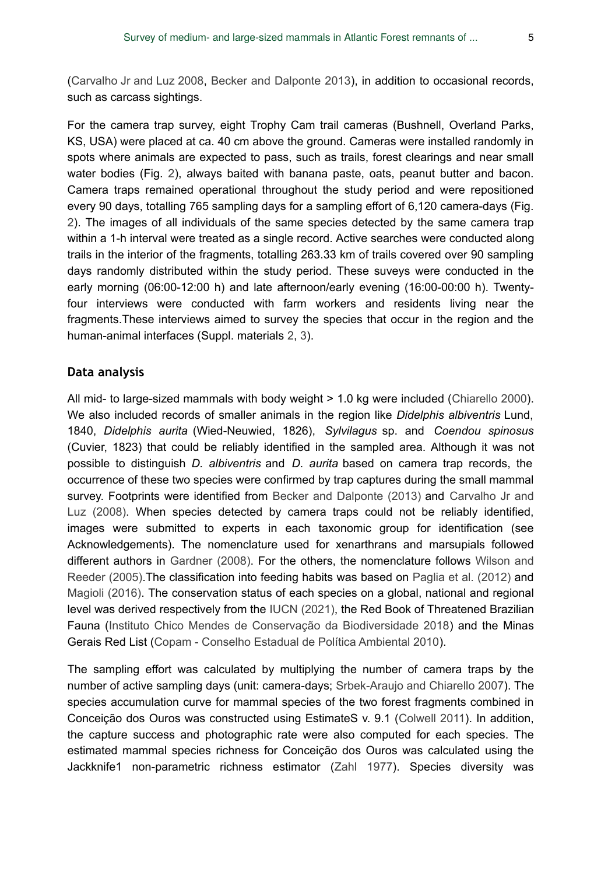[\(Carvalho Jr and Luz 2008,](#page-12-5) [Becker and Dalponte 2013\)](#page-12-6), in addition to occasional records, such as carcass sightings.

For the camera trap survey, eight Trophy Cam trail cameras (Bushnell, Overland Parks, KS, USA) were placed at ca. 40 cm above the ground. Cameras were installed randomly in spots where animals are expected to pass, such as trails, forest clearings and near small water bodies (Fig. [2\)](#page-3-0), always baited with banana paste, oats, peanut butter and bacon. Camera traps remained operational throughout the study period and were repositioned every 90 days, totalling 765 sampling days for a sampling effort of 6,120 camera-days (Fig. [2](#page-3-0)). The images of all individuals of the same species detected by the same camera trap within a 1-h interval were treated as a single record. Active searches were conducted along trails in the interior of the fragments, totalling 263.33 km of trails covered over 90 sampling days randomly distributed within the study period. These suveys were conducted in the early morning (06:00-12:00 h) and late afternoon/early evening (16:00-00:00 h). Twentyfour interviews were conducted with farm workers and residents living near the fragments.These interviews aimed to survey the species that occur in the region and the human-animal interfaces (Suppl. materials [2,](#page-16-1) [3\)](#page-16-2).

#### **Data analysis**

All mid- to large-sized mammals with body weight > 1.0 kg were included [\(Chiarello 2000\)](#page-12-7). We also included records of smaller animals in the region like *Didelphis albiventris* Lund, 1840, *Didelphis aurita* (Wied-Neuwied, 1826), *Sylvilagus* sp. and *Coendou spinosus* (Cuvier, 1823) that could be reliably identified in the sampled area. Although it was not possible to distinguish *D. albiventris* and *D. aurita* based on camera trap records, the occurrence of these two species were confirmed by trap captures during the small mammal survey. Footprints were identified from [Becker and Dalponte \(2013\)](#page-12-6) and [Carvalho Jr and](#page-12-5) [Luz \(2008\)](#page-12-5). When species detected by camera traps could not be reliably identified, images were submitted to experts in each taxonomic group for identification (see Acknowledgements). The nomenclature used for xenarthrans and marsupials followed different authors in [Gardner \(2008\).](#page-13-5) For the others, the nomenclature follows [Wilson and](#page-15-4) [Reeder \(2005\).](#page-15-4)The classification into feeding habits was based on [Paglia et al. \(2012\)](#page-14-0) and [Magioli \(2016\).](#page-14-6) The conservation status of each species on a global, national and regional level was derived respectively from the [IUCN \(2021\)](#page-13-6), the Red Book of Threatened Brazilian Fauna ([Instituto Chico Mendes de Conservação da Biodiversidade 2018\)](#page-13-7) and the Minas Gerais Red List ([Copam - Conselho Estadual de Política Ambiental 2010\)](#page-12-2).

The sampling effort was calculated by multiplying the number of camera traps by the number of active sampling days (unit: camera-days; [Srbek-Araujo and Chiarello 2007\)](#page-15-5). The species accumulation curve for mammal species of the two forest fragments combined in Conceição dos Ouros was constructed using EstimateS v. 9.1 ([Colwell 2011\)](#page-12-8). In addition, the capture success and photographic rate were also computed for each species. The estimated mammal species richness for Conceição dos Ouros was calculated using the Jackknife1 non-parametric richness estimator [\(Zahl 1977](#page-15-6)). Species diversity was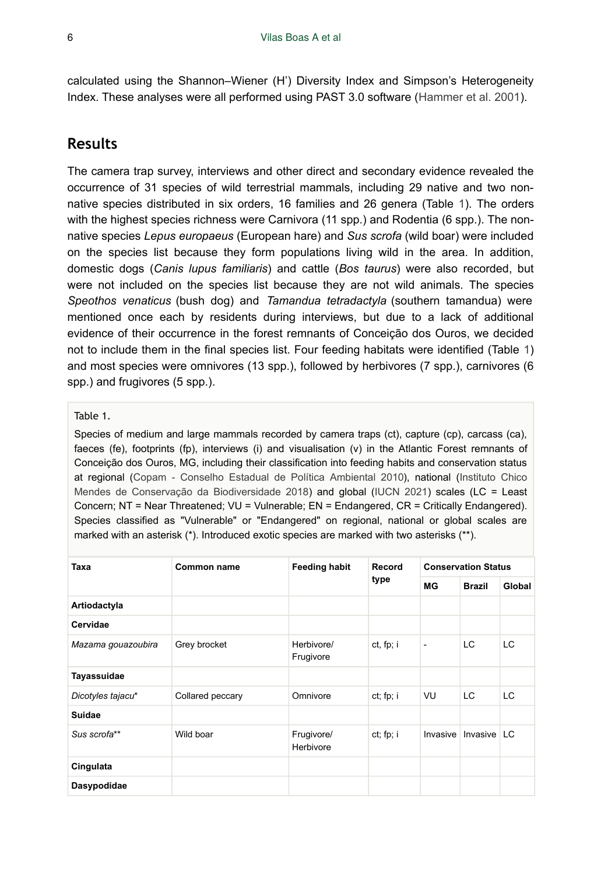calculated using the Shannon–Wiener (H') Diversity Index and Simpson's Heterogeneity Index. These analyses were all performed using PAST 3.0 software ([Hammer et al. 2001\)](#page-13-8).

## **Results**

The camera trap survey, interviews and other direct and secondary evidence revealed the occurrence of 31 species of wild terrestrial mammals, including 29 native and two nonnative species distributed in six orders, 16 families and 26 genera (Table [1\)](#page-5-0). The orders with the highest species richness were Carnivora (11 spp.) and Rodentia (6 spp.). The nonnative species *Lepus europaeus* (European hare) and *Sus scrofa* (wild boar) were included on the species list because they form populations living wild in the area. In addition, domestic dogs (*Canis lupus familiaris*) and cattle (*Bos taurus*) were also recorded, but were not included on the species list because they are not wild animals. The species *Speothos venaticus* (bush dog) and *Tamandua tetradactyla* (southern tamandua) were mentioned once each by residents during interviews, but due to a lack of additional evidence of their occurrence in the forest remnants of Conceição dos Ouros, we decided not to include them in the final species list. Four feeding habitats were identified (Table [1](#page-5-0)) and most species were omnivores (13 spp.), followed by herbivores (7 spp.), carnivores (6 spp.) and frugivores (5 spp.).

#### <span id="page-5-0"></span>Table 1.

Species of medium and large mammals recorded by camera traps (ct), capture (cp), carcass (ca), faeces (fe), footprints (fp), interviews (i) and visualisation (v) in the Atlantic Forest remnants of Conceição dos Ouros, MG, including their classification into feeding habits and conservation status at regional ([Copam - Conselho Estadual de Política Ambiental 2010\)](#page-12-2), national [\(Instituto Chico](#page-13-7) [Mendes de Conservação da Biodiversidade 2018](#page-13-7)) and global [\(IUCN 2021\)](#page-13-6) scales (LC = Least Concern; NT = Near Threatened; VU = Vulnerable; EN = Endangered, CR = Critically Endangered). Species classified as "Vulnerable" or "Endangered" on regional, national or global scales are marked with an asterisk (\*). Introduced exotic species are marked with two asterisks (\*\*).

| Taxa               | Common name      | <b>Feeding habit</b>    | Record<br>type | <b>Conservation Status</b> |               |               |
|--------------------|------------------|-------------------------|----------------|----------------------------|---------------|---------------|
|                    |                  |                         |                | МG                         | <b>Brazil</b> | <b>Global</b> |
| Artiodactyla       |                  |                         |                |                            |               |               |
| Cervidae           |                  |                         |                |                            |               |               |
| Mazama gouazoubira | Grey brocket     | Herbivore/<br>Frugivore | ct, fp; i      | $\overline{a}$             | LC            | LC            |
| Tayassuidae        |                  |                         |                |                            |               |               |
| Dicotyles tajacu*  | Collared peccary | Omnivore                | ct; fp; i      | VU                         | LC            | LC            |
| Suidae             |                  |                         |                |                            |               |               |
| Sus scrofa**       | Wild boar        | Frugivore/<br>Herbivore | ct; fp; i      | Invasive                   | Invasive      | LC            |
| Cingulata          |                  |                         |                |                            |               |               |
| Dasypodidae        |                  |                         |                |                            |               |               |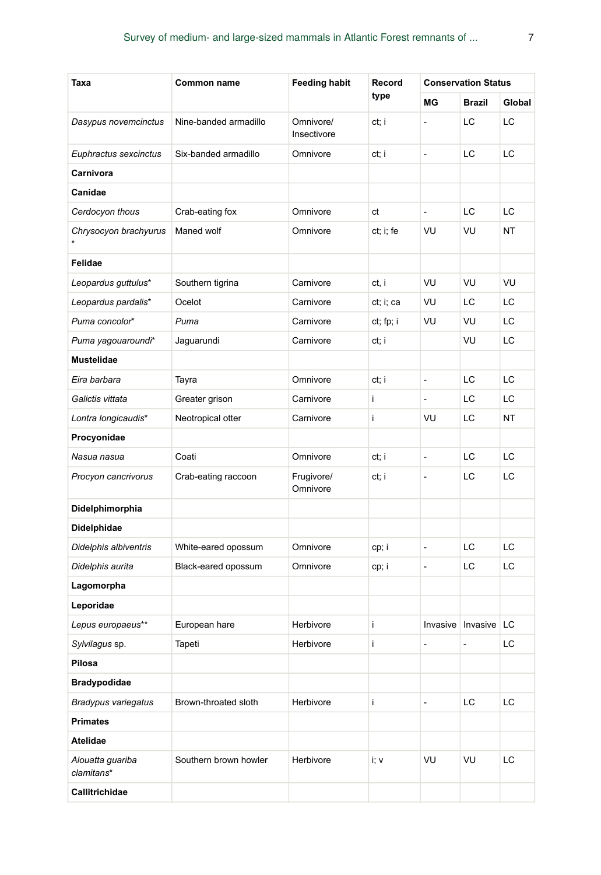| Taxa                           | Common name           | <b>Feeding habit</b>     | Record    | <b>Conservation Status</b> |                      |        |
|--------------------------------|-----------------------|--------------------------|-----------|----------------------------|----------------------|--------|
|                                |                       |                          | type      | МG                         | <b>Brazil</b>        | Global |
| Dasypus novemcinctus           | Nine-banded armadillo | Omnivore/<br>Insectivore | ct; i     | $\overline{\phantom{a}}$   | LС                   | LC     |
| Euphractus sexcinctus          | Six-banded armadillo  | Omnivore                 | ct; i     | $\frac{1}{2}$              | LC                   | LС     |
| Carnivora                      |                       |                          |           |                            |                      |        |
| Canidae                        |                       |                          |           |                            |                      |        |
| Cerdocyon thous                | Crab-eating fox       | Omnivore                 | ct        | $\blacksquare$             | LC                   | LC     |
| Chrysocyon brachyurus          | Maned wolf            | Omnivore                 | ct; i; fe | VU                         | VU                   | NT     |
| Felidae                        |                       |                          |           |                            |                      |        |
| Leopardus guttulus*            | Southern tigrina      | Carnivore                | ct, i     | VU                         | VU                   | VU     |
| Leopardus pardalis*            | Ocelot                | Carnivore                | ct; i; ca | VU                         | LС                   | LС     |
| Puma concolor*                 | Puma                  | Carnivore                | ct; fp; i | VU                         | VU                   | LС     |
| Puma yagouaroundi*             | Jaguarundi            | Carnivore                | ct; i     |                            | VU                   | LС     |
| Mustelidae                     |                       |                          |           |                            |                      |        |
| Eira barbara                   | Tayra                 | Omnivore                 | ct; i     | $\frac{1}{2}$              | LС                   | LС     |
| Galictis vittata               | Greater grison        | Carnivore                | i         | $\overline{\phantom{a}}$   | LC                   | LC     |
| Lontra longicaudis*            | Neotropical otter     | Carnivore                | i         | VU                         | LС                   | NT     |
| Procyonidae                    |                       |                          |           |                            |                      |        |
| Nasua nasua                    | Coati                 | Omnivore                 | ct; i     | $\frac{1}{2}$              | LС                   | LC     |
| Procyon cancrivorus            | Crab-eating raccoon   | Frugivore/<br>Omnivore   | ct; i     | $\frac{1}{2}$              | LС                   | LC     |
| Didelphimorphia                |                       |                          |           |                            |                      |        |
| Didelphidae                    |                       |                          |           |                            |                      |        |
| Didelphis albiventris          | White-eared opossum   | Omnivore                 | cp; i     | $\frac{1}{2}$              | LC                   | LC     |
| Didelphis aurita               | Black-eared opossum   | Omnivore                 | cp; i     | $\frac{1}{2}$              | LС                   | LС     |
| Lagomorpha                     |                       |                          |           |                            |                      |        |
| Leporidae                      |                       |                          |           |                            |                      |        |
| Lepus europaeus**              | European hare         | Herbivore                | i         |                            | Invasive Invasive LC |        |
| Sylvilagus sp.                 | Tapeti                | Herbivore                | i         | ÷                          | $\frac{1}{2}$        | LС     |
| Pilosa                         |                       |                          |           |                            |                      |        |
| <b>Bradypodidae</b>            |                       |                          |           |                            |                      |        |
| Bradypus variegatus            | Brown-throated sloth  | Herbivore                | İ.        | $\overline{a}$             | LC                   | LC     |
| <b>Primates</b>                |                       |                          |           |                            |                      |        |
| Atelidae                       |                       |                          |           |                            |                      |        |
| Alouatta guariba<br>clamitans* | Southern brown howler | Herbivore                | i; v      | VU                         | VU                   | LC     |
| Callitrichidae                 |                       |                          |           |                            |                      |        |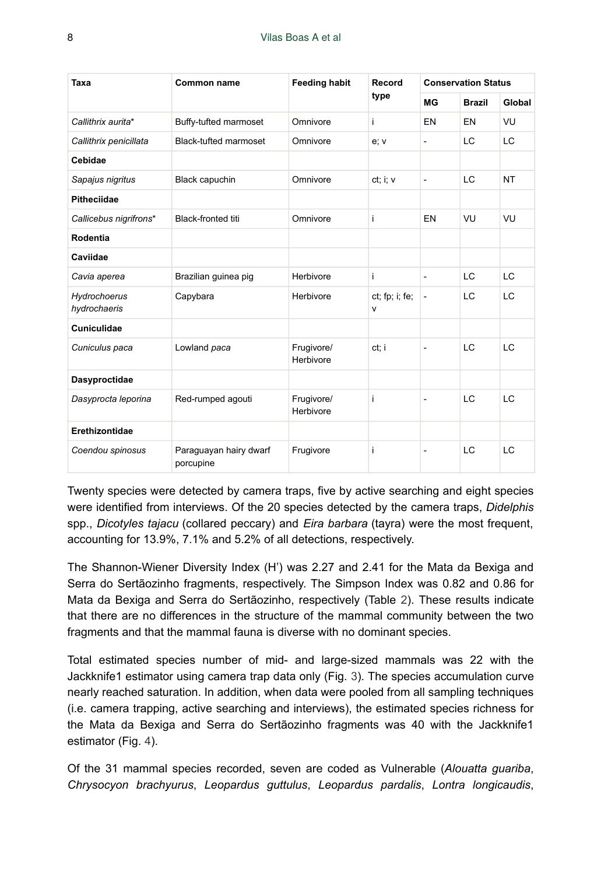| Taxa                         | <b>Common name</b>                  | <b>Feeding habit</b>    | Record<br>type      | <b>Conservation Status</b> |               |           |
|------------------------------|-------------------------------------|-------------------------|---------------------|----------------------------|---------------|-----------|
|                              |                                     |                         |                     | MG                         | <b>Brazil</b> | Global    |
| Callithrix aurita*           | Buffy-tufted marmoset               | Omnivore                | i                   | EN                         | EN            | VU        |
| Callithrix penicillata       | Black-tufted marmoset               | Omnivore                | e: v                | $\overline{\phantom{a}}$   | LC            | LC        |
| Cebidae                      |                                     |                         |                     |                            |               |           |
| Sapajus nigritus             | Black capuchin                      | Omnivore                | ct: i: v            | $\overline{a}$             | LC            | <b>NT</b> |
| <b>Pitheciidae</b>           |                                     |                         |                     |                            |               |           |
| Callicebus nigrifrons*       | <b>Black-fronted titi</b>           | Omnivore                | i                   | EN                         | VU            | VU        |
| Rodentia                     |                                     |                         |                     |                            |               |           |
| Caviidae                     |                                     |                         |                     |                            |               |           |
| Cavia aperea                 | Brazilian guinea pig                | Herbivore               | i                   | $\overline{\phantom{a}}$   | LC            | LC        |
| Hydrochoerus<br>hydrochaeris | Capybara                            | Herbivore               | ct; fp; i; fe;<br>v | $\overline{\phantom{a}}$   | LC            | LC        |
| Cuniculidae                  |                                     |                         |                     |                            |               |           |
| Cuniculus paca               | Lowland paca                        | Frugivore/<br>Herbivore | ct: i               | $\overline{a}$             | LC            | LC        |
| Dasyproctidae                |                                     |                         |                     |                            |               |           |
| Dasyprocta leporina          | Red-rumped agouti                   | Frugivore/<br>Herbivore | i                   | $\overline{\phantom{a}}$   | LC            | LC        |
| Erethizontidae               |                                     |                         |                     |                            |               |           |
| Coendou spinosus             | Paraguayan hairy dwarf<br>porcupine | Frugivore               | i                   | $\overline{\phantom{a}}$   | LC            | LC        |

Twenty species were detected by camera traps, five by active searching and eight species were identified from interviews. Of the 20 species detected by the camera traps, *Didelphis* spp., *Dicotyles tajacu* (collared peccary) and *Eira barbara* (tayra) were the most frequent, accounting for 13.9%, 7.1% and 5.2% of all detections, respectively.

The Shannon-Wiener Diversity Index (H') was 2.27 and 2.41 for the Mata da Bexiga and Serra do Sertãozinho fragments, respectively. The Simpson Index was 0.82 and 0.86 for Mata da Bexiga and Serra do Sertãozinho, respectively (Table [2\)](#page-8-0). These results indicate that there are no differences in the structure of the mammal community between the two fragments and that the mammal fauna is diverse with no dominant species.

Total estimated species number of mid- and large-sized mammals was 22 with the Jackknife1 estimator using camera trap data only (Fig. [3\)](#page-8-1). The species accumulation curve nearly reached saturation. In addition, when data were pooled from all sampling techniques (i.e. camera trapping, active searching and interviews), the estimated species richness for the Mata da Bexiga and Serra do Sertãozinho fragments was 40 with the Jackknife1 estimator (Fig. [4](#page-9-0)).

Of the 31 mammal species recorded, seven are coded as Vulnerable (*Alouatta guariba*, *Chrysocyon brachyurus*, *Leopardus guttulus*, *Leopardus pardalis*, *Lontra longicaudis*,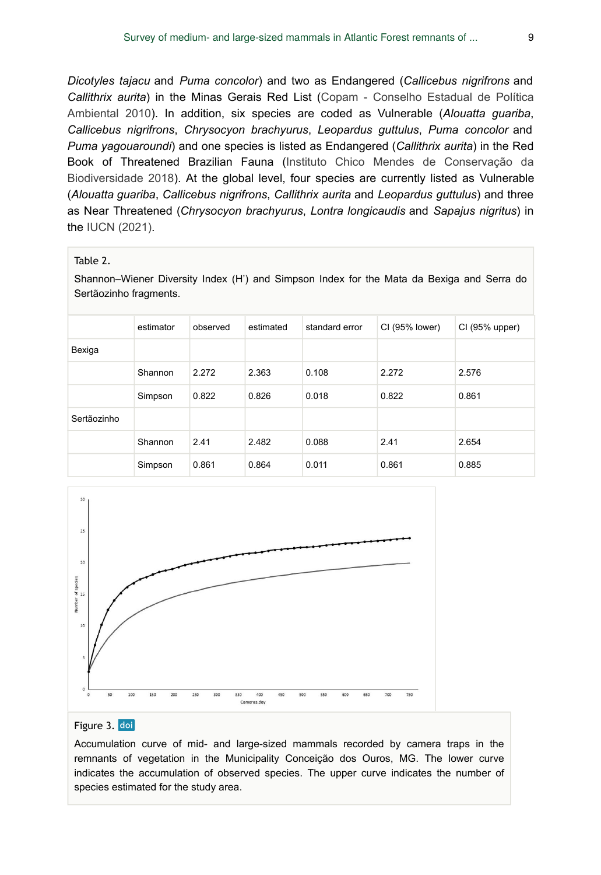*Dicotyles tajacu* and *Puma concolor*) and two as Endangered (*Callicebus nigrifrons* and *Callithrix aurita*) in the Minas Gerais Red List ([Copam - Conselho Estadual de Política](#page-12-2) [Ambiental 2010\)](#page-12-2). In addition, six species are coded as Vulnerable (*Alouatta guariba*, *Callicebus nigrifrons*, *Chrysocyon brachyurus*, *Leopardus guttulus*, *Puma concolor* and *Puma yagouaroundi*) and one species is listed as Endangered (*Callithrix aurita*) in the Red Book of Threatened Brazilian Fauna ([Instituto Chico Mendes de Conservação da](#page-13-7) [Biodiversidade 2018](#page-13-7)). At the global level, four species are currently listed as Vulnerable (*Alouatta guariba*, *Callicebus nigrifrons*, *Callithrix aurita* and *Leopardus guttulus*) and three as Near Threatened (*Chrysocyon brachyurus*, *Lontra longicaudis* and *Sapajus nigritus*) in the [IUCN \(2021\).](#page-13-6)

#### <span id="page-8-0"></span>Table 2.

Shannon–Wiener Diversity Index (H') and Simpson Index for the Mata da Bexiga and Serra do Sertãozinho fragments.

|             | estimator | observed | estimated | standard error | CI (95% lower) | CI (95% upper) |
|-------------|-----------|----------|-----------|----------------|----------------|----------------|
| Bexiga      |           |          |           |                |                |                |
|             | Shannon   | 2.272    | 2.363     | 0.108          | 2.272          | 2.576          |
|             | Simpson   | 0.822    | 0.826     | 0.018          | 0.822          | 0.861          |
| Sertãozinho |           |          |           |                |                |                |
|             | Shannon   | 2.41     | 2.482     | 0.088          | 2.41           | 2.654          |
|             | Simpson   | 0.861    | 0.864     | 0.011          | 0.861          | 0.885          |

<span id="page-8-1"></span>

#### Figure 3. doi

Accumulation curve of mid- and large-sized mammals recorded by camera traps in the remnants of vegetation in the Municipality Conceição dos Ouros, MG. The lower curve indicates the accumulation of observed species. The upper curve indicates the number of species estimated for the study area.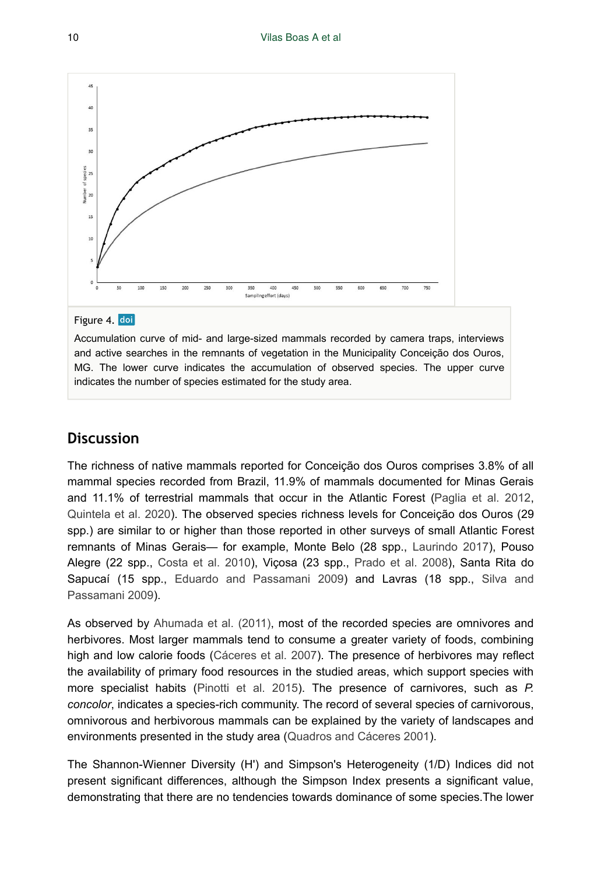<span id="page-9-0"></span>

#### Figure 4. doi

Accumulation curve of mid- and large-sized mammals recorded by camera traps, interviews and active searches in the remnants of vegetation in the Municipality Conceição dos Ouros, MG. The lower curve indicates the accumulation of observed species. The upper curve indicates the number of species estimated for the study area.

### **Discussion**

The richness of native mammals reported for Conceição dos Ouros comprises 3.8% of all mammal species recorded from Brazil, 11.9% of mammals documented for Minas Gerais and 11.1% of terrestrial mammals that occur in the Atlantic Forest [\(Paglia et al. 2012,](#page-14-0) [Quintela et al. 2020\)](#page-14-1). The observed species richness levels for Conceição dos Ouros (29 spp.) are similar to or higher than those reported in other surveys of small Atlantic Forest remnants of Minas Gerais— for example, Monte Belo (28 spp., [Laurindo 2017](#page-13-9)), Pouso Alegre (22 spp., [Costa et al. 2010](#page-13-10)), Viçosa (23 spp., [Prado et al. 2008](#page-14-7)), Santa Rita do Sapucaí (15 spp., [Eduardo and Passamani 2009](#page-13-11)) and Lavras (18 spp., [Silva and](#page-15-7) [Passamani 2009](#page-15-7)).

As observed by [Ahumada et al. \(2011\),](#page-12-9) most of the recorded species are omnivores and herbivores. Most larger mammals tend to consume a greater variety of foods, combining high and low calorie foods ([Cáceres et al. 2007\)](#page-12-10). The presence of herbivores may reflect the availability of primary food resources in the studied areas, which support species with more specialist habits [\(Pinotti et al. 2015\)](#page-14-8). The presence of carnivores, such as *P. concolor*, indicates a species-rich community. The record of several species of carnivorous, omnivorous and herbivorous mammals can be explained by the variety of landscapes and environments presented in the study area ([Quadros and Cáceres 2001](#page-14-9)).

The Shannon-Wienner Diversity (H') and Simpson's Heterogeneity (1/D) Indices did not present significant differences, although the Simpson Index presents a significant value, demonstrating that there are no tendencies towards dominance of some species.The lower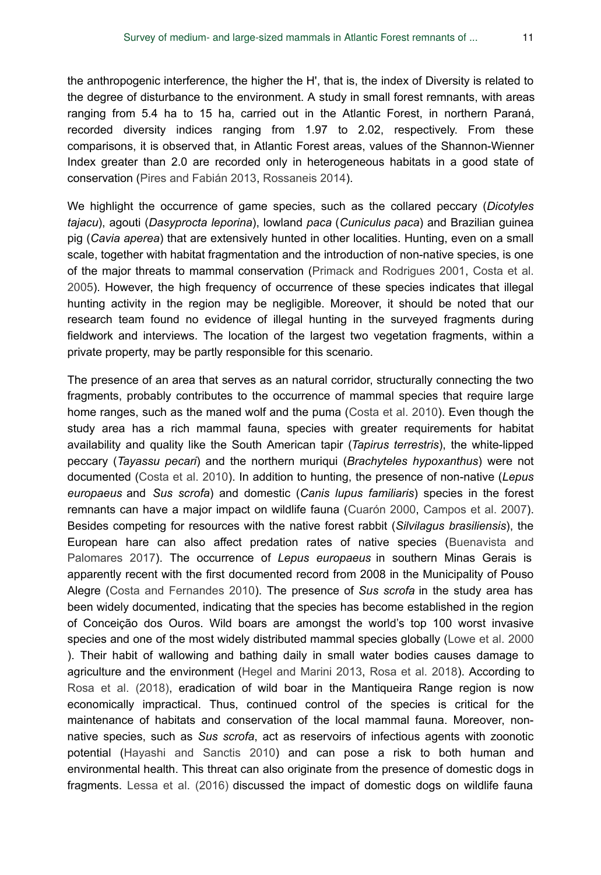the anthropogenic interference, the higher the H', that is, the index of Diversity is related to the degree of disturbance to the environment. A study in small forest remnants, with areas ranging from 5.4 ha to 15 ha, carried out in the Atlantic Forest, in northern Paraná, recorded diversity indices ranging from 1.97 to 2.02, respectively. From these comparisons, it is observed that, in Atlantic Forest areas, values of the Shannon-Wienner Index greater than 2.0 are recorded only in heterogeneous habitats in a good state of conservation ([Pires and Fabián 2013,](#page-14-10) [Rossaneis 2014](#page-15-8)).

We highlight the occurrence of game species, such as the collared peccary (*Dicotyles tajacu*), agouti (*Dasyprocta leporina*), lowland *paca* (*Cuniculus paca*) and Brazilian guinea pig (*Cavia aperea*) that are extensively hunted in other localities. Hunting, even on a small scale, together with habitat fragmentation and the introduction of non-native species, is one of the major threats to mammal conservation ([Primack and Rodrigues 2001,](#page-14-11) [Costa et al.](#page-12-11) [2005](#page-12-11)). However, the high frequency of occurrence of these species indicates that illegal hunting activity in the region may be negligible. Moreover, it should be noted that our research team found no evidence of illegal hunting in the surveyed fragments during fieldwork and interviews. The location of the largest two vegetation fragments, within a private property, may be partly responsible for this scenario.

The presence of an area that serves as an natural corridor, structurally connecting the two fragments, probably contributes to the occurrence of mammal species that require large home ranges, such as the maned wolf and the puma [\(Costa et al. 2010\)](#page-13-10). Even though the study area has a rich mammal fauna, species with greater requirements for habitat availability and quality like the South American tapir (*Tapirus terrestris*), the white-lipped peccary (*Tayassu pecari*) and the northern muriqui (*Brachyteles hypoxanthus*) were not documented ([Costa et al. 2010\)](#page-13-10). In addition to hunting, the presence of non-native (*Lepus europaeus* and *Sus scrofa*) and domestic (*Canis lupus familiaris*) species in the forest remnants can have a major impact on wildlife fauna ([Cuarón 2000](#page-13-12), [Campos et al. 2007\)](#page-12-12). Besides competing for resources with the native forest rabbit (*Silvilagus brasiliensis*), the European hare can also affect predation rates of native species [\(Buenavista and](#page-12-13) [Palomares 2017](#page-12-13)). The occurrence of *Lepus europaeus* in southern Minas Gerais is apparently recent with the first documented record from 2008 in the Municipality of Pouso Alegre [\(Costa and Fernandes 2010](#page-12-14)). The presence of *Sus scrofa* in the study area has been widely documented, indicating that the species has become established in the region of Conceição dos Ouros. Wild boars are amongst the world's top 100 worst invasive species and one of the most widely distributed mammal species globally [\(Lowe et al. 2000](#page-14-12) ). Their habit of wallowing and bathing daily in small water bodies causes damage to agriculture and the environment [\(Hegel and Marini 2013,](#page-13-13) [Rosa et al. 2018\)](#page-15-9). According to [Rosa et al. \(2018\),](#page-15-9) eradication of wild boar in the Mantiqueira Range region is now economically impractical. Thus, continued control of the species is critical for the maintenance of habitats and conservation of the local mammal fauna. Moreover, nonnative species, such as *Sus scrofa*, act as reservoirs of infectious agents with zoonotic potential [\(Hayashi and Sanctis 2010](#page-13-14)) and can pose a risk to both human and environmental health. This threat can also originate from the presence of domestic dogs in fragments. [Lessa et al. \(2016\)](#page-14-13) discussed the impact of domestic dogs on wildlife fauna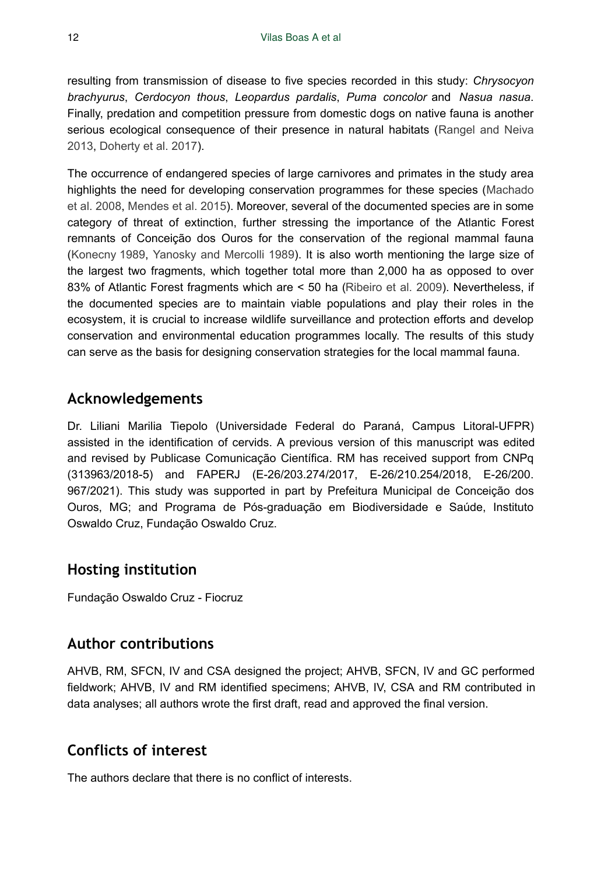resulting from transmission of disease to five species recorded in this study: *Chrysocyon brachyurus*, *Cerdocyon thous*, *Leopardus pardalis*, *Puma concolor* and *Nasua nasua*. Finally, predation and competition pressure from domestic dogs on native fauna is another serious ecological consequence of their presence in natural habitats ([Rangel and Neiva](#page-15-10) [2013](#page-15-10), [Doherty et al. 2017\)](#page-13-15).

The occurrence of endangered species of large carnivores and primates in the study area highlights the need for developing conservation programmes for these species [\(Machado](#page-14-14) [et al. 2008](#page-14-14), [Mendes et al. 2015](#page-14-15)). Moreover, several of the documented species are in some category of threat of extinction, further stressing the importance of the Atlantic Forest remnants of Conceição dos Ouros for the conservation of the regional mammal fauna [\(Konecny 1989,](#page-13-16) [Yanosky and Mercolli 1989](#page-15-11)). It is also worth mentioning the large size of the largest two fragments, which together total more than 2,000 ha as opposed to over 83% of Atlantic Forest fragments which are < 50 ha [\(Ribeiro et al. 2009\)](#page-15-12). Nevertheless, if the documented species are to maintain viable populations and play their roles in the ecosystem, it is crucial to increase wildlife surveillance and protection efforts and develop conservation and environmental education programmes locally. The results of this study can serve as the basis for designing conservation strategies for the local mammal fauna.

### **Acknowledgements**

Dr. Liliani Marilia Tiepolo (Universidade Federal do Paraná, Campus Litoral-UFPR) assisted in the identification of cervids. A previous version of this manuscript was edited and revised by Publicase Comunicação Científica. RM has received support from CNPq (313963/2018-5) and FAPERJ (E-26/203.274/2017, E-26/210.254/2018, E-26/200. 967/2021). This study was supported in part by Prefeitura Municipal de Conceição dos Ouros, MG; and Programa de Pós-graduação em Biodiversidade e Saúde, Instituto Oswaldo Cruz, Fundação Oswaldo Cruz.

### **Hosting institution**

Fundação Oswaldo Cruz - Fiocruz

### **Author contributions**

AHVB, RM, SFCN, IV and CSA designed the project; AHVB, SFCN, IV and GC performed fieldwork; AHVB, IV and RM identified specimens; AHVB, IV, CSA and RM contributed in data analyses; all authors wrote the first draft, read and approved the final version.

### **Conflicts of interest**

The authors declare that there is no conflict of interests.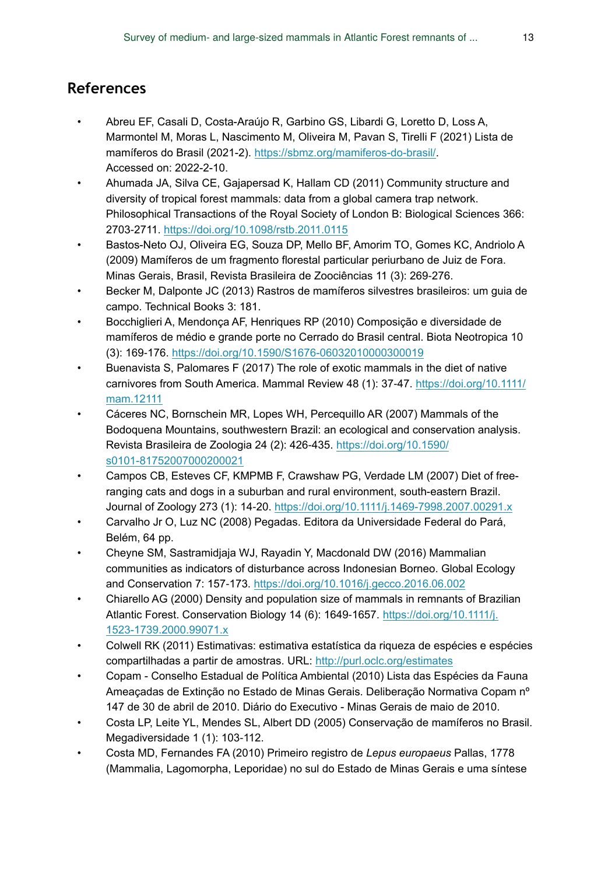# **References**

- <span id="page-12-0"></span>• Abreu EF, Casali D, Costa-Araújo R, Garbino GS, Libardi G, Loretto D, Loss A, Marmontel M, Moras L, Nascimento M, Oliveira M, Pavan S, Tirelli F (2021) Lista de mamíferos do Brasil (2021-2). <https://sbmz.org/mamiferos-do-brasil/>. Accessed on: 2022-2-10.
- <span id="page-12-9"></span>• Ahumada JA, Silva CE, Gajapersad K, Hallam CD (2011) Community structure and diversity of tropical forest mammals: data from a global camera trap network. Philosophical Transactions of the Royal Society of London B: Biological Sciences 366: 2703‑2711.<https://doi.org/10.1098/rstb.2011.0115>
- <span id="page-12-1"></span>• Bastos-Neto OJ, Oliveira EG, Souza DP, Mello BF, Amorim TO, Gomes KC, Andriolo A (2009) Mamíferos de um fragmento florestal particular periurbano de Juiz de Fora. Minas Gerais, Brasil, Revista Brasileira de Zoociências 11 (3): 269‑276.
- <span id="page-12-6"></span>• Becker M, Dalponte JC (2013) Rastros de mamíferos silvestres brasileiros: um guia de campo. Technical Books 3: 181.
- <span id="page-12-3"></span>• Bocchiglieri A, Mendonça AF, Henriques RP (2010) Composição e diversidade de mamíferos de médio e grande porte no Cerrado do Brasil central. Biota Neotropica 10 (3): 169‑176. <https://doi.org/10.1590/S1676-06032010000300019>
- <span id="page-12-13"></span>• Buenavista S, Palomares F (2017) The role of exotic mammals in the diet of native carnivores from South America. Mammal Review 48 (1): 37‑47. [https://doi.org/10.1111/](https://doi.org/10.1111/mam.12111) [mam.12111](https://doi.org/10.1111/mam.12111)
- <span id="page-12-10"></span>• Cáceres NC, Bornschein MR, Lopes WH, Percequillo AR (2007) Mammals of the Bodoquena Mountains, southwestern Brazil: an ecological and conservation analysis. Revista Brasileira de Zoologia 24 (2): 426‑435. [https://doi.org/10.1590/](https://doi.org/10.1590/s0101-81752007000200021) [s0101-81752007000200021](https://doi.org/10.1590/s0101-81752007000200021)
- <span id="page-12-12"></span>• Campos CB, Esteves CF, KMPMB F, Crawshaw PG, Verdade LM (2007) Diet of freeranging cats and dogs in a suburban and rural environment, south-eastern Brazil. Journal of Zoology 273 (1): 14‑20. <https://doi.org/10.1111/j.1469-7998.2007.00291.x>
- <span id="page-12-5"></span>• Carvalho Jr O, Luz NC (2008) Pegadas. Editora da Universidade Federal do Pará, Belém, 64 pp.
- <span id="page-12-4"></span>• Cheyne SM, Sastramidjaja WJ, Rayadin Y, Macdonald DW (2016) Mammalian communities as indicators of disturbance across Indonesian Borneo. Global Ecology and Conservation 7: 157‑173.<https://doi.org/10.1016/j.gecco.2016.06.002>
- <span id="page-12-7"></span>• Chiarello AG (2000) Density and population size of mammals in remnants of Brazilian Atlantic Forest. Conservation Biology 14 (6): 1649-1657. [https://doi.org/10.1111/j.](https://doi.org/10.1111/j.1523-1739.2000.99071.x) [1523-1739.2000.99071.x](https://doi.org/10.1111/j.1523-1739.2000.99071.x)
- <span id="page-12-8"></span>• Colwell RK (2011) Estimativas: estimativa estatística da riqueza de espécies e espécies compartilhadas a partir de amostras. URL:<http://purl.oclc.org/estimates>
- <span id="page-12-2"></span>• Copam - Conselho Estadual de Política Ambiental (2010) Lista das Espécies da Fauna Ameaçadas de Extinção no Estado de Minas Gerais. Deliberação Normativa Copam nº 147 de 30 de abril de 2010. Diário do Executivo - Minas Gerais de maio de 2010.
- <span id="page-12-11"></span>• Costa LP, Leite YL, Mendes SL, Albert DD (2005) Conservação de mamíferos no Brasil. Megadiversidade 1 (1): 103‑112.
- <span id="page-12-14"></span>• Costa MD, Fernandes FA (2010) Primeiro registro de *Lepus europaeus* Pallas, 1778 (Mammalia, Lagomorpha, Leporidae) no sul do Estado de Minas Gerais e uma síntese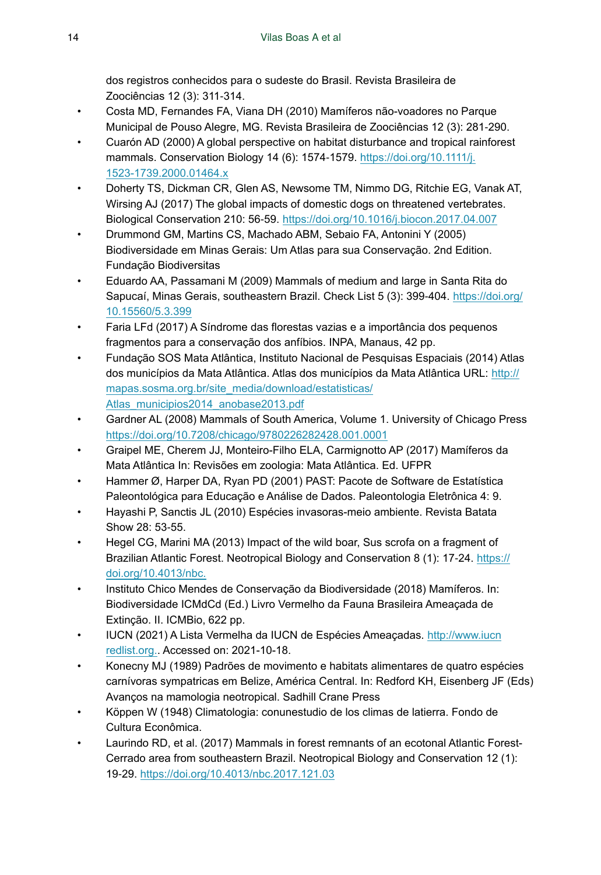dos registros conhecidos para o sudeste do Brasil. Revista Brasileira de Zoociências 12 (3): 311‑314.

- <span id="page-13-10"></span>• Costa MD, Fernandes FA, Viana DH (2010) Mamíferos não-voadores no Parque Municipal de Pouso Alegre, MG. Revista Brasileira de Zoociências 12 (3): 281‑290.
- <span id="page-13-12"></span>• Cuarón AD (2000) A global perspective on habitat disturbance and tropical rainforest mammals. Conservation Biology 14 (6): 1574-1579. [https://doi.org/10.1111/j.](https://doi.org/10.1111/j.1523-1739.2000.01464.x) [1523-1739.2000.01464.x](https://doi.org/10.1111/j.1523-1739.2000.01464.x)
- <span id="page-13-15"></span>• Doherty TS, Dickman CR, Glen AS, Newsome TM, Nimmo DG, Ritchie EG, Vanak AT, Wirsing AJ (2017) The global impacts of domestic dogs on threatened vertebrates. Biological Conservation 210: 56‑59. <https://doi.org/10.1016/j.biocon.2017.04.007>
- <span id="page-13-1"></span>• Drummond GM, Martins CS, Machado ABM, Sebaio FA, Antonini Y (2005) Biodiversidade em Minas Gerais: Um Atlas para sua Conservação. 2nd Edition. Fundação Biodiversitas
- <span id="page-13-11"></span>• Eduardo AA, Passamani M (2009) Mammals of medium and large in Santa Rita do Sapucaí, Minas Gerais, southeastern Brazil. Check List 5 (3): 399-404. [https://doi.org/](https://doi.org/10.15560/5.3.399) [10.15560/5.3.399](https://doi.org/10.15560/5.3.399)
- <span id="page-13-3"></span>• Faria LFd (2017) A Síndrome das florestas vazias e a importância dos pequenos fragmentos para a conservação dos anfíbios. INPA, Manaus, 42 pp.
- <span id="page-13-2"></span>• Fundação SOS Mata Atlântica, Instituto Nacional de Pesquisas Espaciais (2014) Atlas dos municípios da Mata Atlântica. Atlas dos municípios da Mata Atlântica URL: [http://](http://mapas.sosma.org.br/site_media/download/estatisticas/Atlas_municipios2014_anobase2013.pdf) [mapas.sosma.org.br/site\\_media/download/estatisticas/](http://mapas.sosma.org.br/site_media/download/estatisticas/Atlas_municipios2014_anobase2013.pdf) [Atlas\\_municipios2014\\_anobase2013.pdf](http://mapas.sosma.org.br/site_media/download/estatisticas/Atlas_municipios2014_anobase2013.pdf)
- <span id="page-13-5"></span>• Gardner AL (2008) Mammals of South America, Volume 1. University of Chicago Press <https://doi.org/10.7208/chicago/9780226282428.001.0001>
- <span id="page-13-0"></span>• Graipel ME, Cherem JJ, Monteiro-Filho ELA, Carmignotto AP (2017) Mamíferos da Mata Atlântica In: Revisões em zoologia: Mata Atlântica. Ed. UFPR
- <span id="page-13-8"></span>• Hammer Ø, Harper DA, Ryan PD (2001) PAST: Pacote de Software de Estatística Paleontológica para Educação e Análise de Dados. Paleontologia Eletrônica 4: 9.
- <span id="page-13-14"></span>• Hayashi P, Sanctis JL (2010) Espécies invasoras-meio ambiente. Revista Batata Show 28: 53‑55.
- <span id="page-13-13"></span>• Hegel CG, Marini MA (2013) Impact of the wild boar, Sus scrofa on a fragment of Brazilian Atlantic Forest. Neotropical Biology and Conservation 8 (1): 17-24. [https://](https://doi.org/10.4013/nbc.) [doi.org/10.4013/nbc.](https://doi.org/10.4013/nbc.)
- <span id="page-13-7"></span>• Instituto Chico Mendes de Conservação da Biodiversidade (2018) Mamíferos. In: Biodiversidade ICMdCd (Ed.) Livro Vermelho da Fauna Brasileira Ameaçada de Extinção. II. ICMBio, 622 pp.
- <span id="page-13-6"></span>• IUCN (2021) A Lista Vermelha da IUCN de Espécies Ameaçadas. [http://www.iucn](http://www.iucnredlist.org.) [redlist.org.](http://www.iucnredlist.org.). Accessed on: 2021-10-18.
- <span id="page-13-16"></span>• Konecny MJ (1989) Padrões de movimento e habitats alimentares de quatro espécies carnívoras sympatricas em Belize, América Central. In: Redford KH, Eisenberg JF (Eds) Avanços na mamologia neotropical. Sadhill Crane Press
- <span id="page-13-4"></span>• Köppen W (1948) Climatologia: conunestudio de los climas de latierra. Fondo de Cultura Econômica.
- <span id="page-13-9"></span>• Laurindo RD, et al. (2017) Mammals in forest remnants of an ecotonal Atlantic Forest-Cerrado area from southeastern Brazil. Neotropical Biology and Conservation 12 (1): 19‑29.<https://doi.org/10.4013/nbc.2017.121.03>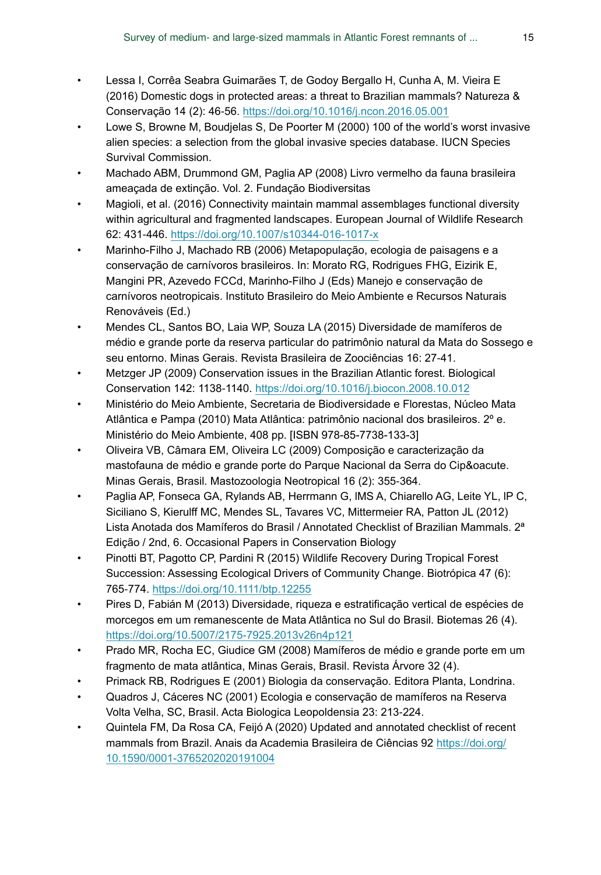- <span id="page-14-13"></span>• Lessa I, Corrêa Seabra Guimarães T, de Godoy Bergallo H, Cunha A, M. Vieira E (2016) Domestic dogs in protected areas: a threat to Brazilian mammals? Natureza & Conservação 14 (2): 46‑56. <https://doi.org/10.1016/j.ncon.2016.05.001>
- <span id="page-14-12"></span>• Lowe S, Browne M, Boudjelas S, De Poorter M (2000) 100 of the world's worst invasive alien species: a selection from the global invasive species database. IUCN Species Survival Commission.
- <span id="page-14-14"></span>• Machado ABM, Drummond GM, Paglia AP (2008) Livro vermelho da fauna brasileira ameaçada de extinção. Vol. 2. Fundação Biodiversitas
- <span id="page-14-6"></span>• Magioli, et al. (2016) Connectivity maintain mammal assemblages functional diversity within agricultural and fragmented landscapes. European Journal of Wildlife Research 62: 431‑446. <https://doi.org/10.1007/s10344-016-1017-x>
- <span id="page-14-3"></span>• Marinho-Filho J, Machado RB (2006) Metapopulação, ecologia de paisagens e a conservação de carnívoros brasileiros. In: Morato RG, Rodrigues FHG, Eizirik E, Mangini PR, Azevedo FCCd, Marinho-Filho J (Eds) Manejo e conservação de carnívoros neotropicais. Instituto Brasileiro do Meio Ambiente e Recursos Naturais Renováveis (Ed.)
- <span id="page-14-15"></span>• Mendes CL, Santos BO, Laia WP, Souza LA (2015) Diversidade de mamíferos de médio e grande porte da reserva particular do patrimônio natural da Mata do Sossego e seu entorno. Minas Gerais. Revista Brasileira de Zoociências 16: 27‑41.
- <span id="page-14-4"></span>• Metzger JP (2009) Conservation issues in the Brazilian Atlantic forest. Biological Conservation 142: 1138‑1140. <https://doi.org/10.1016/j.biocon.2008.10.012>
- <span id="page-14-2"></span>• Ministério do Meio Ambiente, Secretaria de Biodiversidade e Florestas, Núcleo Mata Atlântica e Pampa (2010) Mata Atlântica: patrimônio nacional dos brasileiros. 2º e. Ministério do Meio Ambiente, 408 pp. [ISBN 978-85-7738-133-3]
- <span id="page-14-5"></span>• Oliveira VB, Câmara EM, Oliveira LC (2009) Composição e caracterização da mastofauna de médio e grande porte do Parque Nacional da Serra do Cip&oacute. Minas Gerais, Brasil. Mastozoologia Neotropical 16 (2): 355‑364.
- <span id="page-14-0"></span>• Paglia AP, Fonseca GA, Rylands AB, Herrmann G, lMS A, Chiarello AG, Leite YL, lP C, Siciliano S, Kierulff MC, Mendes SL, Tavares VC, Mittermeier RA, Patton JL (2012) Lista Anotada dos Mamíferos do Brasil / Annotated Checklist of Brazilian Mammals. 2<sup>ª</sup> Edição / 2nd, 6. Occasional Papers in Conservation Biology
- <span id="page-14-8"></span>• Pinotti BT, Pagotto CP, Pardini R (2015) Wildlife Recovery During Tropical Forest Succession: Assessing Ecological Drivers of Community Change. Biotrópica 47 (6): 765‑774. <https://doi.org/10.1111/btp.12255>
- <span id="page-14-10"></span>• Pires D, Fabián M (2013) Diversidade, riqueza e estratificação vertical de espécies de morcegos em um remanescente de Mata Atlântica no Sul do Brasil. Biotemas 26 (4). <https://doi.org/10.5007/2175-7925.2013v26n4p121>
- <span id="page-14-7"></span>• Prado MR, Rocha EC, Giudice GM (2008) Mamíferos de médio e grande porte em um fragmento de mata atlântica, Minas Gerais, Brasil. Revista Árvore 32 (4).
- <span id="page-14-11"></span>• Primack RB, Rodrigues E (2001) Biologia da conservação. Editora Planta, Londrina.
- <span id="page-14-9"></span>• Quadros J, Cáceres NC (2001) Ecologia e conservação de mamíferos na Reserva Volta Velha, SC, Brasil. Acta Biologica Leopoldensia 23: 213‑224.
- <span id="page-14-1"></span>• Quintela FM, Da Rosa CA, Feijó A (2020) Updated and annotated checklist of recent mammals from Brazil. Anais da Academia Brasileira de Ciências 92 [https://doi.org/](https://doi.org/10.1590/0001-3765202020191004) [10.1590/0001-3765202020191004](https://doi.org/10.1590/0001-3765202020191004)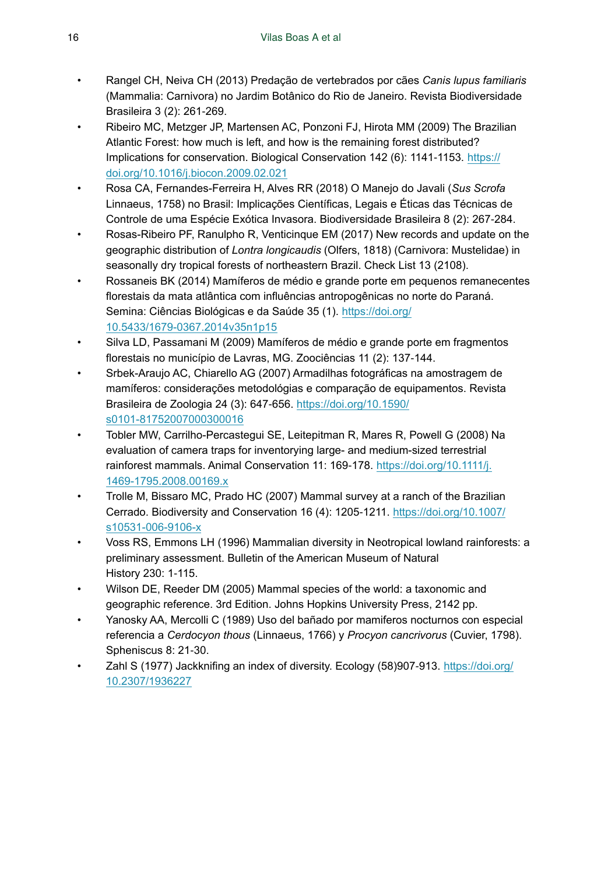- <span id="page-15-10"></span>• Rangel CH, Neiva CH (2013) Predação de vertebrados por cães *Canis lupus familiaris* (Mammalia: Carnivora) no Jardim Botânico do Rio de Janeiro. Revista Biodiversidade Brasileira 3 (2): 261‑269.
- <span id="page-15-12"></span>• Ribeiro MC, Metzger JP, Martensen AC, Ponzoni FJ, Hirota MM (2009) The Brazilian Atlantic Forest: how much is left, and how is the remaining forest distributed? Implications for conservation. Biological Conservation 142 (6): 1141‑1153. [https://](https://doi.org/10.1016/j.biocon.2009.02.021) [doi.org/10.1016/j.biocon.2009.02.021](https://doi.org/10.1016/j.biocon.2009.02.021)
- <span id="page-15-9"></span>• Rosa CA, Fernandes-Ferreira H, Alves RR (2018) O Manejo do Javali (*Sus Scrofa* Linnaeus, 1758) no Brasil: Implicações Científicas, Legais e Éticas das Técnicas de Controle de uma Espécie Exótica Invasora. Biodiversidade Brasileira 8 (2): 267‑284.
- <span id="page-15-2"></span>• Rosas-Ribeiro PF, Ranulpho R, Venticinque EM (2017) New records and update on the geographic distribution of *Lontra longicaudis* (Olfers, 1818) (Carnivora: Mustelidae) in seasonally dry tropical forests of northeastern Brazil. Check List 13 (2108).
- <span id="page-15-8"></span>• Rossaneis BK (2014) Mamíferos de médio e grande porte em pequenos remanecentes florestais da mata atlântica com influências antropogênicas no norte do Paraná. Semina: Ciências Biológicas e da Saúde 35 (1). [https://doi.org/](https://doi.org/10.5433/1679-0367.2014v35n1p15) [10.5433/1679-0367.2014v35n1p15](https://doi.org/10.5433/1679-0367.2014v35n1p15)
- <span id="page-15-7"></span>• Silva LD, Passamani M (2009) Mamíferos de médio e grande porte em fragmentos florestais no município de Lavras, MG. Zoociências 11 (2): 137‑144.
- <span id="page-15-5"></span>• Srbek-Araujo AC, Chiarello AG (2007) Armadilhas fotográficas na amostragem de mamíferos: considerações metodológias e comparação de equipamentos. Revista Brasileira de Zoologia 24 (3): 647‑656. [https://doi.org/10.1590/](https://doi.org/10.1590/s0101-81752007000300016) [s0101-81752007000300016](https://doi.org/10.1590/s0101-81752007000300016)
- <span id="page-15-1"></span>• Tobler MW, Carrilho-Percastegui SE, Leitepitman R, Mares R, Powell G (2008) Na evaluation of camera traps for inventorying large- and medium-sized terrestrial rainforest mammals. Animal Conservation 11: 169-178. [https://doi.org/10.1111/j.](https://doi.org/10.1111/j.1469-1795.2008.00169.x) [1469-1795.2008.00169.x](https://doi.org/10.1111/j.1469-1795.2008.00169.x)
- <span id="page-15-0"></span>• Trolle M, Bissaro MC, Prado HC (2007) Mammal survey at a ranch of the Brazilian Cerrado. Biodiversity and Conservation 16 (4): 1205‑1211. [https://doi.org/10.1007/](https://doi.org/10.1007/s10531-006-9106-x) [s10531-006-9106-x](https://doi.org/10.1007/s10531-006-9106-x)
- <span id="page-15-3"></span>• Voss RS, Emmons LH (1996) Mammalian diversity in Neotropical lowland rainforests: a preliminary assessment. Bulletin of the American Museum of Natural History 230: 1‑115.
- <span id="page-15-4"></span>• Wilson DE, Reeder DM (2005) Mammal species of the world: a taxonomic and geographic reference. 3rd Edition. Johns Hopkins University Press, 2142 pp.
- <span id="page-15-11"></span>• Yanosky AA, Mercolli C (1989) Uso del bañado por mamiferos nocturnos con especial referencia a *Cerdocyon thous* (Linnaeus, 1766) y *Procyon cancrivorus* (Cuvier, 1798). Spheniscus 8: 21-30.
- <span id="page-15-6"></span>• Zahl S (1977) Jackknifing an index of diversity. Ecology (58)907‑913. [https://doi.org/](https://doi.org/10.2307/1936227) [10.2307/1936227](https://doi.org/10.2307/1936227)